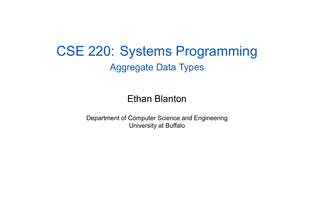CSE 220: Systems Programming Aggregate Data Types

Ethan Blanton

Department of Computer Science and Engineering University at Buffalo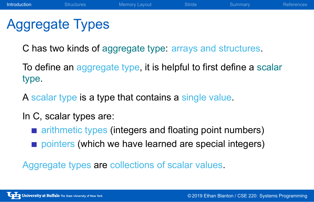# Aggregate Types

C has two kinds of aggregate type: arrays and structures.

To define an aggregate type, it is helpful to first define a scalar type.

**Introduction** Structures Memory Layout Stride Summary Reference

A scalar type is a type that contains a single value.

In C, scalar types are:

- **E** arithmetic types (integers and floating point numbers)
- pointers (which we have learned are special integers)

Aggregate types are collections of scalar values.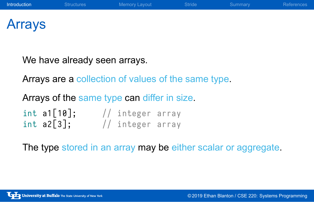### Arrays

We have already seen arrays.

Arrays are a collection of values of the same type.

Arrays of the same type can differ in size.

 $int$  a1[10];  $//$  integer array  $\mathsf{int}$  a2[3];  $\qquad$  // integer array

The type stored in an array may be either scalar or aggregate.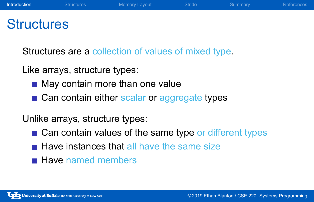### **Structures**

Structures are a collection of values of mixed type.

Like arrays, structure types:

- May contain more than one value
- Can contain either scalar or aggregate types

Unlike arrays, structure types:

- Can contain values of the same type or different types
- $\blacksquare$  Have instances that all have the same size
- **Have named members**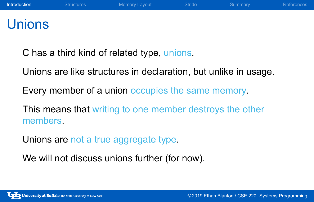### **Unions**

C has a third kind of related type, unions.

Unions are like structures in declaration, but unlike in usage.

Every member of a union occupies the same memory.

This means that writing to one member destroys the other members.

Unions are not a true aggregate type.

We will not discuss unions further (for now).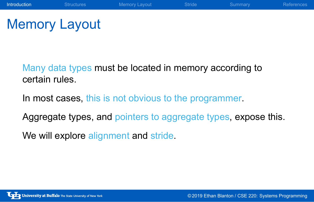# Memory Layout

Many data types must be located in memory according to certain rules.

In most cases, this is not obvious to the programmer.

Aggregate types, and pointers to aggregate types, expose this.

Introduction Structures Memory Layout Stride Summary References

We will explore alignment and stride.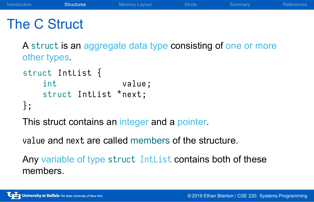### The C Struct

A struct is an aggregate data type consisting of one or more other types.

Introduction **Structures** Memory Layout Stride Summary References

```
struct IntList {
   int value;
   struct IntList *next;
};
```
This struct contains an integer and a pointer.

value and next are called members of the structure.

Any variable of type struct IntList contains both of these members.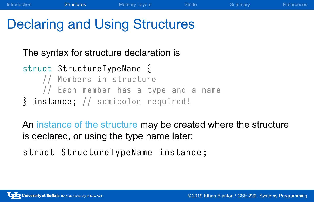# Declaring and Using Structures

#### The syntax for structure declaration is

```
struct StructureTypeName {
   // Members in structure
   // Each member has a type and a name
\} instance; // semicolon required!
```
An instance of the structure may be created where the structure is declared, or using the type name later:

Introduction Structures Memory Layout Stride Summary Reference

```
struct StructureTypeName instance ;
```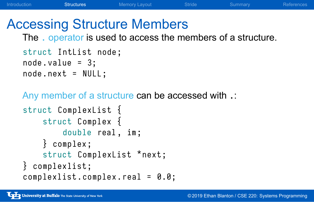# Accessing Structure Members

The . operator is used to access the members of a structure.

Introduction **Structures** Memory Layout Stride Summary References

```
struct IntList node ;
node.value = 3;node . next = NULL ;
```
Any member of a structure can be accessed with .:

```
struct ComplexList {
    struct Complex {
        double real, im;
    } complex ;
    struct ComplexList *next;
} complexlist ;
complexlist.complex.real = 0.0;
```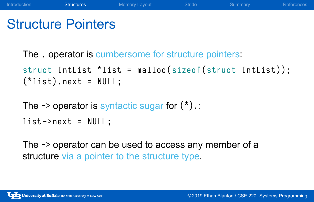# Structure Pointers

The . operator is cumbersome for structure pointers:

```
struct Intlist *list = malloc(sizeof(struct Intlist));
(*list) . next = NULL;
```
The  $\rightarrow$  operator is syntactic sugar for  $(*)$ .:

```
list \rightarrow next = NULL;
```
The -> operator can be used to access any member of a structure via a pointer to the structure type.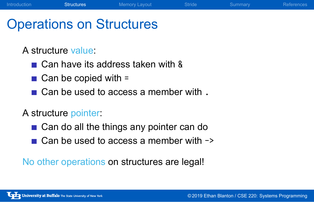# Operations on Structures

A structure value:

- Can have its address taken with &
- $\blacksquare$  Can be copied with =
- Can be used to access a member with .

Introduction Structures Memory Layout Stride Summary References

A structure pointer:

- Can do all the things any pointer can do
- $\Box$  Can be used to access a member with  $\rightarrow$

No other operations on structures are legal!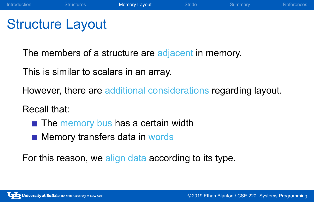# Structure Layout

The members of a structure are adjacent in memory.

This is similar to scalars in an array.

However, there are additional considerations regarding layout.

Introduction Structures Memory Layout Stride Summary References

#### Recall that:

- $\blacksquare$  The memory bus has a certain width
- **Memory transfers data in words**

For this reason, we align data according to its type.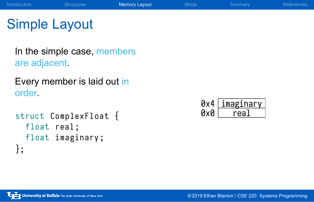#### Introduction Structures Memory Layout Stride Summary References Simple Layout In the simple case, members are adjacent. Every member is laid out in order. struct ComplexFloat { float real; float imaginary; }; 0x0 <u>real</u> 0x4|<u>imaginary</u>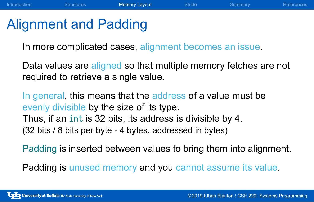### Alignment and Padding

In more complicated cases, alignment becomes an issue.

Data values are aligned so that multiple memory fetches are not required to retrieve a single value.

Introduction Structures Memory Layout Stride Summary References

In general, this means that the address of a value must be evenly divisible by the size of its type. Thus, if an int is 32 bits, its address is divisible by 4.

(32 bits / 8 bits per byte - 4 bytes, addressed in bytes)

Padding is inserted between values to bring them into alignment.

Padding is unused memory and you cannot assume its value.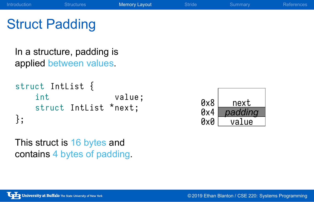# Introduction Structures Memory Layout Stride Summary References Struct Padding

In a structure, padding is applied between values.

```
struct IntList {
   int value;
   struct Intlist *next;
};
```
0x0 value 0x4 *padding* 0x8 next

This struct is 16 bytes and contains 4 bytes of padding.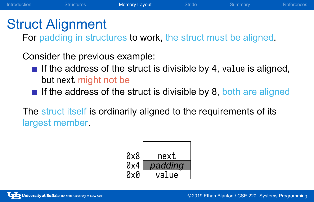### Struct Alignment

For padding in structures to work, the struct must be aligned.

Introduction Structures Memory Layout Stride Summary References

Consider the previous example:

- If the address of the struct is divisible by 4, value is aligned, but next might not be
- If the address of the struct is divisible by 8, both are aligned

The struct itself is ordinarily aligned to the requirements of its largest member.

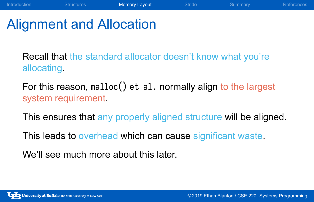## Alignment and Allocation

Recall that the standard allocator doesn't know what you're allocating.

Introduction Structures Memory Layout Stride Summary References

For this reason, malloc() et al. normally align to the largest system requirement.

This ensures that any properly aligned structure will be aligned.

This leads to overhead which can cause significant waste.

We'll see much more about this later.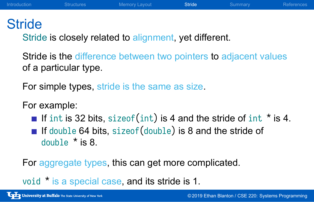#### **Stride**

Stride is closely related to alignment, yet different.

Stride is the difference between two pointers to adjacent values of a particular type.

Introduction Structures Memory Layout Stride Summary References

For simple types, stride is the same as size.

For example:

- If int is 32 bits, sizeof(int) is 4 and the stride of int  $*$  is 4.
- If double 64 bits, sizeof(double) is 8 and the stride of double \* is 8.

For aggregate types, this can get more complicated.

void \* is a special case, and its stride is 1.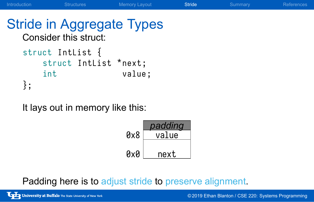#### Stride in Aggregate Types Consider this struct: struct IntList { struct IntList \*next;

Introduction Structures Memory Layout Stride Summary References

```
int value;
};
```
It lays out in memory like this:

| padding |
|---------|
| value   |
|         |
| next    |
|         |

Padding here is to adjust stride to preserve alignment.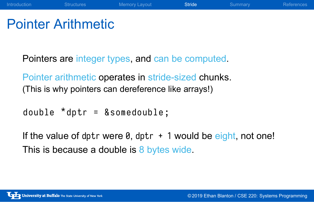# Pointer Arithmetic

Pointers are integer types, and can be computed.

Pointer arithmetic operates in stride-sized chunks. (This is why pointers can dereference like arrays!)

double \* dptr = & somedouble ;

If the value of dptr were  $\theta$ , dptr  $+1$  would be eight, not one! This is because a double is 8 bytes wide.

Introduction Structures Memory Layout Stride Summary References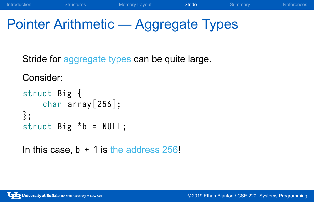# Pointer Arithmetic — Aggregate Types

Introduction Structures Memory Layout Stride Summary References

Stride for aggregate types can be quite large.

```
Consider:
struct Big {
    char array [256];
};
struct Big * b = NULL;
```

```
In this case, b + 1 is the address 256!
```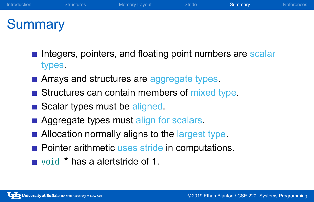# **Summary**

- Integers, pointers, and floating point numbers are scalar types.
- **Arrays and structures are aggregate types.**
- Structures can contain members of mixed type.
- Scalar types must be aligned.
- **Aggregate types must align for scalars.**
- **Allocation normally aligns to the largest type.**
- Pointer arithmetic uses stride in computations.
- void \* has a alertstride of 1.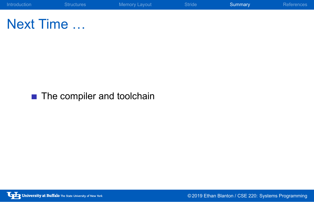

Next Time …

■ The compiler and toolchain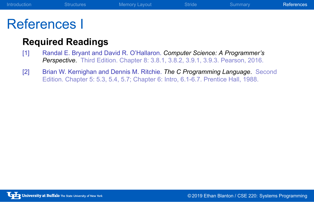# References I

#### **Required Readings**

- [1] Randal E. Bryant and David R. O'Hallaron. *Computer Science: A Programmer's Perspective*. Third Edition. Chapter 8: 3.8.1, 3.8.2, 3.9.1, 3.9.3. Pearson, 2016.
- [2] Brian W. Kernighan and Dennis M. Ritchie. *The C Programming Language*. Second Edition. Chapter 5: 5.3, 5.4, 5.7; Chapter 6: Intro, 6.1-6.7. Prentice Hall, 1988.